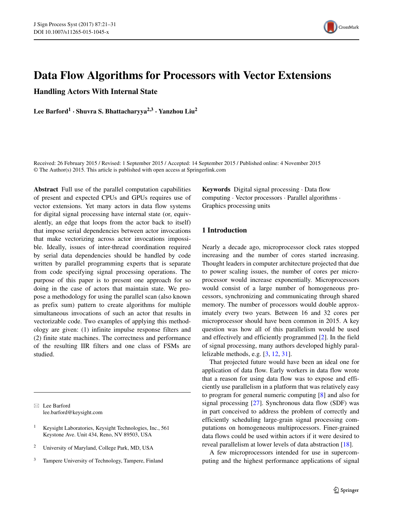

# **Data Flow Algorithms for Processors with Vector Extensions**

**Handling Actors With Internal State**

**Lee Barford<sup>1</sup> · Shuvra S. Bhattacharyya2,3 · Yanzhou Liu<sup>2</sup>**

Received: 26 February 2015 / Revised: 1 September 2015 / Accepted: 14 September 2015 / Published online: 4 November 2015 © The Author(s) 2015. This article is published with open access at Springerlink.com

**Abstract** Full use of the parallel computation capabilities of present and expected CPUs and GPUs requires use of vector extensions. Yet many actors in data flow systems for digital signal processing have internal state (or, equivalently, an edge that loops from the actor back to itself) that impose serial dependencies between actor invocations that make vectorizing across actor invocations impossible. Ideally, issues of inter-thread coordination required by serial data dependencies should be handled by code written by parallel programming experts that is separate from code specifying signal processing operations. The purpose of this paper is to present one approach for so doing in the case of actors that maintain state. We propose a methodology for using the parallel scan (also known as prefix sum) pattern to create algorithms for multiple simultaneous invocations of such an actor that results in vectorizable code. Two examples of applying this methodology are given: (1) infinite impulse response filters and (2) finite state machines. The correctness and performance of the resulting IIR filters and one class of FSMs are studied.

- Lee Barford [lee.barford@keysight.com](mailto:lee.barford@keysight.com)

- <sup>1</sup> Keysight Laboratories, Keysight Technologies, Inc., 561 Keystone Ave. Unit 434, Reno, NV 89503, USA
- <sup>2</sup> University of Maryland, College Park, MD, USA
- <sup>3</sup> Tampere University of Technology, Tampere, Finland

**Keywords** Digital signal processing · Data flow computing · Vector processors · Parallel algorithms · Graphics processing units

# **1 Introduction**

Nearly a decade ago, microprocessor clock rates stopped increasing and the number of cores started increasing. Thought leaders in computer architecture projected that due to power scaling issues, the number of cores per microprocessor would increase exponentially. Microprocessors would consist of a large number of homogeneous processors, synchronizing and communicating through shared memory. The number of processors would double approximately every two years. Between 16 and 32 cores per microprocessor should have been common in 2015. A key question was how all of this parallelism would be used and effectively and efficiently programmed [\[2\]](#page-8-0). In the field of signal processing, many authors developed highly parallelizable methods, e.g. [\[3,](#page-8-1) [12,](#page-8-2) [31\]](#page-9-0).

That projected future would have been an ideal one for application of data flow. Early workers in data flow wrote that a reason for using data flow was to expose and efficiently use parallelism in a platform that was relatively easy to program for general numeric computing [\[8\]](#page-8-3) and also for signal processing [\[27\]](#page-9-1). Synchronous data flow (SDF) was in part conceived to address the problem of correctly and efficiently scheduling large-grain signal processing computations on homogeneous multiprocessors. Finer-grained data flows could be used within actors if it were desired to reveal parallelism at lower levels of data abstraction [\[18\]](#page-9-2).

A few microprocessors intended for use in supercomputing and the highest performance applications of signal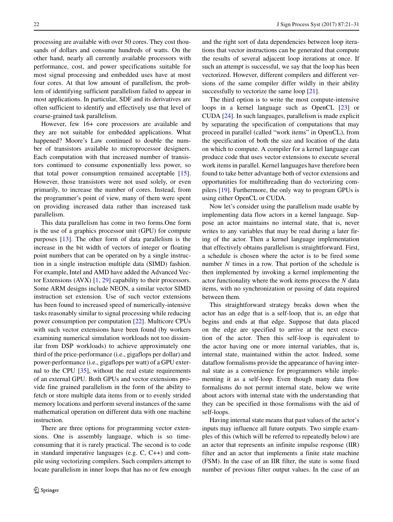processing are available with over 50 cores. They cost thousands of dollars and consume hundreds of watts. On the other hand, nearly all currently available processors with performance, cost, and power specifications suitable for most signal processing and embedded uses have at most four cores. At that low amount of parallelism, the problem of identifying sufficient parallelism failed to appear in most applications. In particular, SDF and its derivatives are often sufficient to identify and effectively use that level of coarse-grained task parallelism.

However, few 16+ core processors are available and they are not suitable for embedded applications. What happened? Moore's Law continued to double the number of transistors available to microprocessor designers. Each computation with that increased number of transistors continued to consume exponentially less power, so that total power consumption remained acceptable [\[15\]](#page-8-4). However, those transistors were not used solely, or even primarily, to increase the number of cores. Instead, from the programmer's point of view, many of them were spent on providing increased data rather than increased task parallelism.

This data parallelism has come in two forms.One form is the use of a graphics processor unit (GPU) for compute purposes [\[13\]](#page-8-5). The other form of data parallelism is the increase in the bit width of vectors of integer or floating point numbers that can be operated on by a single instruction in a single instruction multiple data (SIMD) fashion. For example, Intel and AMD have added the Advanced Vector Extensions (AVX) [\[1,](#page-8-6) [29\]](#page-9-3) capability to their processors. Some ARM designs include NEON, a similar vector SIMD instruction set extension. Use of such vector extensions has been found to increased speed of numerically-intensive tasks reasonably similar to signal processing while reducing power consumption per computation [\[22\]](#page-9-4). Multicore CPUs with such vector extensions have been found (by workers) examining numerical simulation workloads not too dissimilar from DSP workloads) to achieve approximately one third of the price-performance (i.e., gigaflops per dollar) and power-performance (i.e., gigaflops per watt) of a GPU external to the CPU [\[35\]](#page-9-5), without the real estate requirements of an external GPU. Both GPUs and vector extensions provide fine grained parallelism in the form of the ability to fetch or store multiple data items from or to evenly strided memory locations and perform several instances of the same mathematical operation on different data with one machine instruction.

There are three options for programming vector extensions. One is assembly language, which is so timeconsuming that it is rarely practical. The second is to code in standard imperative languages (e.g. C, C++) and compile using vectorizing compilers. Such compilers attempt to locate parallelism in inner loops that has no or few enough and the right sort of data dependencies between loop iterations that vector instructions can be generated that compute the results of several adjacent loop iterations at once. If such an attempt is successful, we say that the loop has been vectorized. However, different compilers and different versions of the same compiler differ wildly in their ability successfully to vectorize the same loop [\[21\]](#page-9-6).

The third option is to write the most compute-intensive loops in a kernel language such as OpenCL [\[23\]](#page-9-7) or CUDA [\[24\]](#page-9-8). In such languages, parallelism is made explicit by separating the specification of computations that may proceed in parallel (called "work items" in OpenCL), from the specification of both the size and location of the data on which to compute. A compiler for a kernel language can produce code that uses vector extensions to execute several work items in parallel. Kernel languages have therefore been found to take better advantage both of vector extensions and opportunities for multithreading than do vectorizing compilers [\[19\]](#page-9-9). Furthermore, the only way to program GPUs is using either OpenCL or CUDA.

Now let's consider using the parallelism made usable by implementing data flow actors in a kernel language. Suppose an actor maintains no internal state, that is, never writes to any variables that may be read during a later firing of the actor. Then a kernel language implementation that effectively obtains parallelism is straightforward. First, a schedule is chosen where the actor is to be fired some number *N* times in a row. That portion of the schedule is then implemented by invoking a kernel implementing the actor functionality where the work items process the *N* data items, with no synchronization or passing of data required between them.

This straightforward strategy breaks down when the actor has an edge that is a self-loop, that is, an edge that begins and ends at that edge. Suppose that data placed on the edge are specified to arrive at the next execution of the actor. Then this self-loop is equivalent to the actor having one or more internal variables, that is, internal state, maintained within the actor. Indeed, some dataflow formalisms provide the appearance of having internal state as a convenience for programmers while implementing it as a self-loop. Even though many data flow formalisms do not permit internal state, below we write about actors with internal state with the understanding that they can be specified in those formalisms with the aid of self-loops.

Having internal state means that past values of the actor's inputs may influence all future outputs. Two simple examples of this (which will be referred to repeatedly below) are an actor that represents an infinite impulse response (IIR) filter and an actor that implements a finite state machine (FSM). In the case of an IIR filter, the state is some fixed number of previous filter output values. In the case of an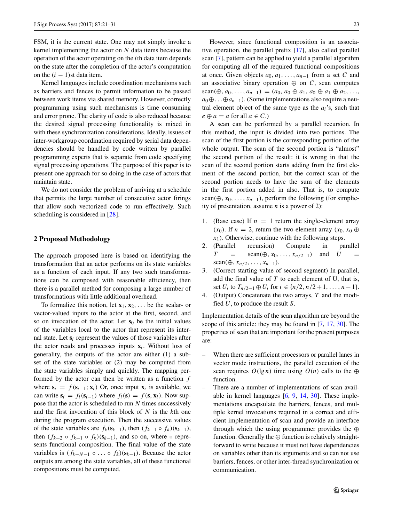FSM, it is the current state. One may not simply invoke a kernel implementing the actor on *N* data items because the operation of the actor operating on the *i*th data item depends on the state after the completion of the actor's computation on the  $(i - 1)$ st data item.

Kernel languages include coordination mechanisms such as barriers and fences to permit information to be passed between work items via shared memory. However, correctly programming using such mechanisms is time consuming and error prone. The clarity of code is also reduced because the desired signal processing functionality is mixed in with these synchronization considerations. Ideally, issues of inter-workgroup coordination required by serial data dependencies should be handled by code written by parallel programming experts that is separate from code specifying signal processing operations. The purpose of this paper is to present one approach for so doing in the case of actors that maintain state.

We do not consider the problem of arriving at a schedule that permits the large number of consecutive actor firings that allow such vectorized code to run effectively. Such scheduling is considered in [\[28\]](#page-9-10).

# **2 Proposed Methodology**

The approach proposed here is based on identifying the transformation that an actor performs on its state variables as a function of each input. If any two such transformations can be composed with reasonable efficiency, then there is a parallel method for composing a large number of transformations with little additional overhead.

To formalize this notion, let  $\mathbf{x}_1, \mathbf{x}_2, \ldots$  be the scalar- or vector-valued inputs to the actor at the first, second, and so on invocation of the actor. Let  $s_0$  be the initial values of the variables local to the actor that represent its internal state. Let  $s_i$  represent the values of those variables after the actor reads and processes inputs  $\mathbf{x}_i$ . Without loss of generality, the outputs of the actor are either (1) a subset of the state variables or (2) may be computed from the state variables simply and quickly. The mapping performed by the actor can then be written as a function *f* where  $\mathbf{s}_i = f(\mathbf{s}_{i-1}; \mathbf{x}_i)$  Or, once input  $\mathbf{x}_i$  is available, we can write  $\mathbf{s}_i = f_i(\mathbf{s}_{i-1})$  where  $f_i(\mathbf{s}) = f(\mathbf{s}, \mathbf{x}_i)$ . Now suppose that the actor is scheduled to run *N* times successively and the first invocation of this block of *N* is the *k*th one during the program execution. Then the successive values of the state variables are  $f_k(\mathbf{s}_{k-1})$ , then  $(f_{k+1} \circ f_k)(\mathbf{s}_{k-1})$ , then  $(f_{k+2} \circ f_{k+1} \circ f_k)(s_{k-1})$ , and so on, where  $\circ$  represents functional composition. The final value of the state variables is  $(f_{k+N-1} \circ \ldots \circ f_k)(s_{k-1})$ . Because the actor outputs are among the state variables, all of these functional compositions must be computed.

However, since functional composition is an associative operation, the parallel prefix [\[17\]](#page-9-11), also called parallel scan [\[7\]](#page-8-7), pattern can be applied to yield a parallel algorithm for computing all of the required functional compositions at once. Given objects  $a_0, a_1, \ldots, a_{n-1}$  from a set *C* and an associative binary operation  $oplus$  on *C*, scan computes scan( $\oplus$ , *a*<sub>0</sub>, ..., *a*<sub>n−1</sub>) = (*a*<sub>0</sub>, *a*<sub>0</sub>  $\oplus$  *a*<sub>1</sub>, *a*<sub>0</sub>  $\oplus$  *a*<sub>1</sub>  $\oplus$  *a*<sub>2</sub>, ...,  $a_0 \oplus \ldots \oplus a_{n-1}$ ). (Some implementations also require a neutral element object of the same type as the  $a_i$ 's, such that  $e \oplus a = a$  for all  $a \in C$ .)

A scan can be performed by a parallel recursion. In this method, the input is divided into two portions. The scan of the first portion is the corresponding portion of the whole output. The scan of the second portion is "almost" the second portion of the result: it is wrong in that the scan of the second portion starts adding from the first element of the second portion, but the correct scan of the second portion needs to have the sum of the elements in the first portion added in also. That is, to compute scan( $\oplus$ *, x*<sub>0</sub>*,..., x*<sub>n−1</sub>*)*, perform the following (for simplicity of presentation, assume *n* is a power of 2):

- 1. (Base case) If  $n = 1$  return the single-element array *(x*<sub>0</sub>). If *n* = 2, return the two-element array  $(x_0, x_0)$  ⊕ *x*1*)*. Otherwise, continue with the following steps.
- 2. (Parallel recursion) Compute in parallel  $T = \text{scan}(\oplus, x_0, \ldots, x_{n/2-1})$  and *U* scan( $\oplus$ *, x<sub>n/2</sub>, ..., x<sub>n−1</sub>)*.
- 3. (Correct starting value of second segment) In parallel, add the final value of *T* to each element of U, that is, set *U<sub>i</sub>* to  $T_{n/2-1} ⊕ U_i$  for  $i ∈ {n/2, n/2+1, ..., n-1}.$
- 4. (Output) Concatenate the two arrays, *T* and the modified *U*, to produce the result *S*.

Implementation details of the scan algorithm are beyond the scope of this article: they may be found in [\[7,](#page-8-7) [17,](#page-9-11) [30\]](#page-9-12). The properties of scan that are important for the present purposes are:

- When there are sufficient processors or parallel lanes in vector mode instructions, the parallel execution of the scan requires  $O(\lg n)$  time using  $O(n)$  calls to the ⊕ function.
- There are a number of implementations of scan available in kernel languages  $[6, 9, 14, 30]$  $[6, 9, 14, 30]$  $[6, 9, 14, 30]$  $[6, 9, 14, 30]$  $[6, 9, 14, 30]$  $[6, 9, 14, 30]$  $[6, 9, 14, 30]$ . These implementations encapsulate the barriers, fences, and multiple kernel invocations required in a correct and efficient implementation of scan and provide an interface through which the using programmer provides the ⊕ function. Generally the  $oplus$  function is relatively straightforward to write because it must not have dependencies on variables other than its arguments and so can not use barriers, fences, or other inter-thread synchronization or communication.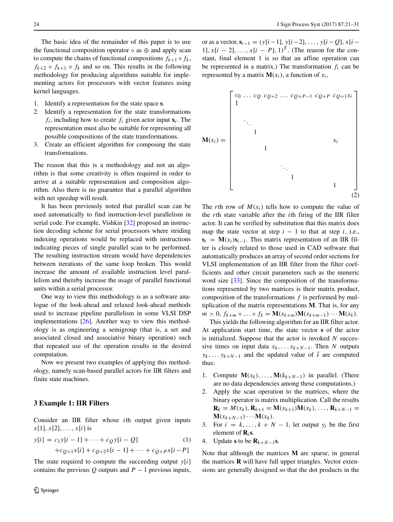The basic idea of the remainder of this paper is to use the functional composition operator  $\circ$  as  $\oplus$  and apply scan to compute the chains of functional compositions  $f_{k+1} \circ f_k$ ,  $f_{k+2} \circ f_{k+1} \circ f_k$  and so on. This results in the following methodology for producing algorithms suitable for implementing actors for processors with vector features using kernel languages.

- 1. Identify a representation for the state space **s**.
- 2. Identify a representation for the state transformations  $f_i$ , including how to create  $f_i$  given actor input  $\mathbf{x}_i$ . The representation must also be suitable for representing all possible compositions of the state transformations.
- 3. Create an efficient algorithm for composing the state transformations.

The reason that this is a methodology and not an algorithm is that some creativity is often required in order to arrive at a suitable representation and composition algorithm. Also there is no guarantee that a parallel algorithm with net speedup will result.

It has been previously noted that parallel scan can be used automatically to find instruction-level parallelism in serial code. For example, Vishkin [\[32\]](#page-9-13) proposed an instruction decoding scheme for serial processors where striding indexing operations would be replaced with instructions indicating pieces of single parallel scan to be performed. The resulting instruction stream would have dependencies between iterations of the same loop broken. This would increase the amount of available instruction level parallelism and thereby increase the usage of parallel functional units within a serial processor.

One way to view this methodology is as a software analogue of the look-ahead and relaxed look-ahead methods used to increase pipeline parallelism in some VLSI DSP implementations [\[26\]](#page-9-14). Another way to view this methodology is as engineering a semigroup (that is, a set and associated closed and associative binary operation) such that repeated use of the operation results in the desired computation.

Now we present two examples of applying this methodology, namely scan-based parallel actors for IIR filters and finite state machines.

#### **3 Example 1: IIR Filters**

Consider an IIR filter whose *i*th output given inputs  $x[1], x[2], \ldots, x[i]$  is

$$
y[i] = c_1y[i-1] + \dots + c_Qy[i-Q] \tag{1}
$$
  
+
$$
c_{Q+1}x[i] + c_{Q+2}x[i-1] + \dots + c_{Q+P}x[i-P]
$$

The state required to compute the succeeding output *y*[*i*] contains the previous  $Q$  outputs and  $P - 1$  previous inputs,

or as a vector,  $\mathbf{s}_{i-1} = (y[i-1], y[i-2], \ldots, y[i-Q], x[i-$ 1],  $x[i - 2]$ , ...,  $x[i - P]$ , 1)<sup>*T*</sup>. (The reason for the constant, final element 1 is so that an affine operation can be represented in a matrix.) The transformation  $f_i$  can be represented by a matrix  $M(x_i)$ , a function of  $x_i$ ,



The *r*th row of  $M(x_i)$  tells how to compute the value of the *r*th state variable after the *i*th firing of the IIR filter actor. It can be verified by substitution that this matrix does map the state vector at step  $i - 1$  to that at step  $i$ , i.e.,  $s_i = M(x_i) s_{i-1}$ . This matrix representation of an IIR filter is closely related to those used in CAD software that automatically produces an array of second order sections for VLSI implementation of an IIR filter from the filter coefficients and other circuit parameters such as the numeric word size [\[33\]](#page-9-15). Since the composition of the transformations represented by two matrices is their matrix product, composition of the transformations *f* is performed by multiplication of the matrix representations **M**. That is, for any  $m > 0$ ,  $f_{k+m} \circ ... \circ f_k = \mathbf{M}(x_{k+m}) \mathbf{M}(x_{k+m-1}) \cdots \mathbf{M}(x_k)$ .

This yields the following algorithm for an IIR filter actor. At application start time, the state vector **s** of the actor is initialized. Suppose that the actor is invoked *N* successive times on input data  $x_k$ , ... $x_{k+N-1}$ . Then *N* outputs  $y_k$ , ...  $y_{k+N-1}$  and the updated value of *s* are computed thus:

- 1. Compute  $M(x_k), \ldots, M(k_{k+N-1})$  in parallel. (There are no data dependencies among these computations.)
- 2. Apply the scan operation to the matrices, where the binary operator is matrix multiplication. Call the results  $\mathbf{R}_k = M(x_k), \mathbf{R}_{k+1} = \mathbf{M}(x_{k+1})\mathbf{M}(x_k), \ldots, \mathbf{R}_{k+N-1} =$  $\mathbf{M}(x_{k+N-1})\cdots\mathbf{M}(x_k).$
- 3. For  $i = k, ..., k + N 1$ , let output  $y_i$  be the first element of **R***i***s**.
- 4. Update **s** to be  $\mathbf{R}_{k+N-1}\mathbf{s}$ .

Note that although the matrices **M** are sparse, in general the matrices **R** will have full upper triangles. Vector extensions are generally designed so that the dot products in the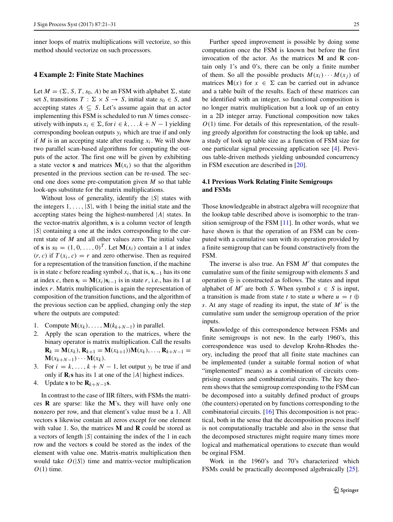inner loops of matrix multiplications will vectorize, so this method should vectorize on such processors.

# **4 Example 2: Finite State Machines**

Let  $M = (\Sigma, S, T, s_0, A)$  be an FSM with alphabet  $\Sigma$ , state set *S*, transitions  $T : \Sigma \times S \rightarrow S$ , initial state  $s_0 \in S$ , and accepting states  $A \subseteq S$ . Let's assume again that an actor implementing this FSM is scheduled to run *N* times consecutively with inputs  $x_i \in \Sigma$ , for  $i \in k, \ldots k + N - 1$  yielding corresponding boolean outputs *yi* which are true if and only if *M* is in an accepting state after reading  $x_i$ . We will show two parallel scan-based algorithms for computing the outputs of the actor. The first one will be given by exhibiting a state vector **s** and matrices  $M(x_i)$  so that the algorithm presented in the previous section can be re-used. The second one does some pre-computation given *M* so that table look-ups substitute for the matrix multiplications.

Without loss of generality, identify the |*S*| states with the integers  $1, \ldots, |S|$ , with 1 being the initial state and the accepting states being the highest-numbered |*A*| states. In the vector-matrix algorithm, **s** is a column vector of length |*S*| containing a one at the index corresponding to the current state of *M* and all other values zero. The initial value of **s** is  $s_0 = (1, 0, \ldots, 0)^T$ . Let  $M(x_i)$  contain a 1 at index  $(r, c)$  if  $T(x_i, c) = r$  and zero otherwise. Then as required for a representation of the transition function, if the machine is in state *c* before reading symbol  $x_i$ , that is,  $s_i$ <sub>−1</sub> has its one at index *c*, then  $\mathbf{s}_i = \mathbf{M}(x_i)\mathbf{s}_{i-1}$  is in state *r*, i.e., has its 1 at index *r*. Matrix multiplication is again the representation of composition of the transition functions, and the algorithm of the previous section can be applied, changing only the step where the outputs are computed:

- 1. Compute  $\mathbf{M}(x_k), \ldots, \mathbf{M}(k_{k+N-1})$  in parallel.<br>2. Apply the scan operation to the matrices,
- 2. Apply the scan operation to the matrices, where the binary operator is matrix multiplication. Call the results  $\mathbf{R}_k = \mathbf{M}(x_k), \mathbf{R}_{k+1} = \mathbf{M}(x_{k+1})\mathbf{M}(x_k), \ldots, \mathbf{R}_{k+N-1} =$  $\mathbf{M}(x_{k+N-1})\cdots\mathbf{M}(x_k).$
- 3. For  $i = k, ..., k + N 1$ , let output  $y_i$  be true if and only if  $\mathbf{R}_i$ **s** has its 1 at one of the |*A*| highest indices.
- 4. Update **s** to be  $\mathbf{R}_{k+N-1}\mathbf{s}$ .

In contrast to the case of IIR filters, with FSMs the matrices **R** are sparse: like the **M**'s, they will have only one nonzero per row, and that element's value must be a 1. All vectors **s** likewise contain all zeros except for one element with value 1. So, the matrices **M** and **R** could be stored as a vectors of length |*S*| containing the index of the 1 in each row and the vectors **s** could be stored as the index of the element with value one. Matrix-matrix multiplication then would take  $O(|S|)$  time and matrix-vector multiplication *O(*1*)* time.

Further speed improvement is possible by doing some computation once the FSM is known but before the first invocation of the actor. As the matrices **M** and **R** contain only 1's and 0's, there can be only a finite number of them. So all the possible products  $M(x_i) \cdots M(x_j)$  of matrices  $M(x)$  for  $x \in \Sigma$  can be carried out in advance and a table built of the results. Each of these matrices can be identified with an integer, so functional composition is no longer matrix multiplication but a look up of an entry in a 2D integer array. Functional composition now takes *O(*1*)* time. For details of this representation, of the resulting greedy algorithm for constructing the look up table, and a study of look up table size as a function of FSM size for one particular signal processing application see [\[4\]](#page-8-11). Previous table-driven methods yielding unbounded concurrency in FSM execution are described in [\[20\]](#page-9-16).

# **4.1 Previous Work Relating Finite Semigroups and FSMs**

Those knowledgeable in abstract algebra will recognize that the lookup table described above is isomorphic to the transition semigroup of the FSM [\[11\]](#page-8-12). In other words, what we have shown is that the operation of an FSM can be computed with a cumulative sum with its operation provided by a finite semigroup that can be found constructively from the FSM.

The inverse is also true. An FSM *M'* that computes the cumulative sum of the finite semigroup with elements *S* and operation ⊕ is constructed as follows. The states and input alphabet of  $M'$  are both *S*. When symbol  $s \in S$  is input, a transition is made from state *t* to state *u* where  $u = t \oplus$ *s*. At any stage of reading its input, the state of *M* is the cumulative sum under the semigroup operation of the prior inputs.

Knowledge of this correspondence between FSMs and finite semigroups is not new. In the early 1960's, this correspondence was used to develop Krohn-Rhodes theory, including the proof that all finite state machines can be implemented (under a suitable formal notion of what "implemented" means) as a combination of circuits comprising counters and combinatorial circuits. The key theorem shows that the semigroup corresponding to the FSM can be decomposed into a suitably defined product of groups (the counters) operated on by functions corresponding to the combinatorial circuits. [\[16\]](#page-9-17) This decomposition is not practical, both in the sense that the decomposition process itself is not computationally tractable and also in the sense that the decomposed structures might require many times more logical and mathematical operations to execute than would be orginal FSM.

Work in the 1960's and 70's characterized which FSMs could be practically decomposed algebraically [\[25\]](#page-9-18).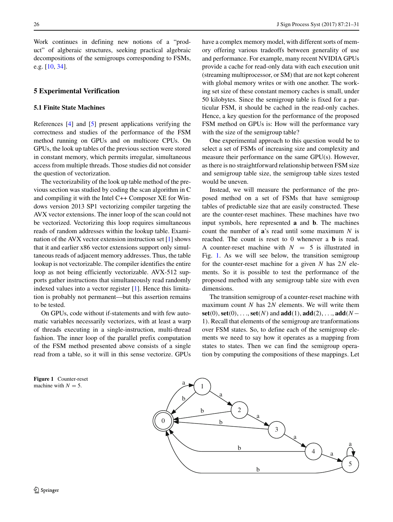Work continues in defining new notions of a "product" of algberaic structures, seeking practical algebraic decompositions of the semigroups corresponding to FSMs, e.g. [\[10,](#page-8-13) [34\]](#page-9-19).

## **5 Experimental Verification**

## **5.1 Finite State Machines**

References [\[4\]](#page-8-11) and [\[5\]](#page-8-14) present applications verifying the correctness and studies of the performance of the FSM method running on GPUs and on multicore CPUs. On GPUs, the look up tables of the previous section were stored in constant memory, which permits irregular, simultaneous access from multiple threads. Those studies did not consider the question of vectorization.

The vectorizability of the look up table method of the previous section was studied by coding the scan algorithm in C and compiling it with the Intel C++ Composer XE for Windows version 2013 SP1 vectorizing compiler targeting the AVX vector extensions. The inner loop of the scan could not be vectorized. Vectorizing this loop requires simultaneous reads of random addresses within the lookup table. Examination of the AVX vector extension instruction set [\[1\]](#page-8-6) shows that it and earlier x86 vector extensions support only simultaneous reads of adjacent memory addresses. Thus, the table lookup is not vectorizable. The compiler identifies the entire loop as not being efficiently vectorizable. AVX-512 supports gather instructions that simultaneously read randomly indexed values into a vector register [\[1\]](#page-8-6). Hence this limitation is probably not permanent—but this assertion remains to be tested.

On GPUs, code without if-statements and with few automatic variables necessarily vectorizes, with at least a warp of threads executing in a single-instruction, multi-thread fashion. The inner loop of the parallel prefix computation of the FSM method presented above consists of a single read from a table, so it will in this sense vectorize. GPUs have a complex memory model, with different sorts of memory offering various tradeoffs between generality of use and performance. For example, many recent NVIDIA GPUs provide a cache for read-only data with each execution unit (streaming multiprocessor, or SM) that are not kept coherent with global memory writes or with one another. The working set size of these constant memory caches is small, under 50 kilobytes. Since the semigroup table is fixed for a particular FSM, it should be cached in the read-only caches. Hence, a key question for the performance of the proposed FSM method on GPUs is: How will the performance vary with the size of the semigroup table?

One experimental approach to this question would be to select a set of FSMs of increasing size and complexity and measure their performance on the same GPU(s). However, as there is no straightforward relationship between FSM size and semigroup table size, the semigroup table sizes tested would be uneven.

Instead, we will measure the performance of the proposed method on a set of FSMs that have semigroup tables of predictable size that are easily constructed. These are the counter-reset machines. These machines have two input symbols, here represented **a** and **b**. The machines count the number of **a**'s read until some maximum *N* is reached. The count is reset to 0 whenever a **b** is read. A counter-reset machine with  $N = 5$  is illustrated in Fig. [1.](#page-5-0) As we will see below, the transition semigroup for the counter-reset machine for a given *N* has 2*N* elements. So it is possible to test the performance of the proposed method with any semigroup table size with even dimensions.

The transition semigroup of a counter-reset machine with maximum count *N* has 2*N* elements. We will write them **set***(*0*)*, **set***(*0*)*, *...*, **set***(N )* and **add***(*1*)*, **add***(*2*)*, *...*, **add***(N*− 1*)*. Recall that elements of the semigroup are tranformations over FSM states. So, to define each of the semigroup elements we need to say how it operates as a mapping from states to states. Then we can find the semigroup operation by computing the compositions of these mappings. Let

<span id="page-5-0"></span>**Figure 1** Counter-reset machine with  $N = 5$ .

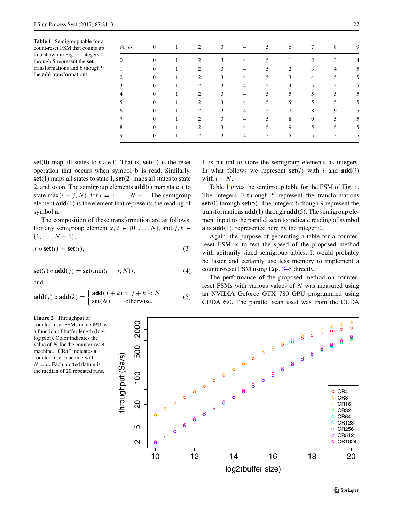<span id="page-6-0"></span>**Table 1** Semigroup table for a count-reset FSM that counts up to 5 shown in Fig. [1.](#page-5-0) Integers 0 through 5 represent the **set** transformations and 6 though 9 the **add** transformations.

| $\oplus_{CR5}$ | $\mathbf{0}$     |   | $\overline{2}$ | 3            | 4              | 5  | 6              | 7              | 8              | 9 |
|----------------|------------------|---|----------------|--------------|----------------|----|----------------|----------------|----------------|---|
| $\theta$       | $\boldsymbol{0}$ | 1 | 2              | 3            | $\overline{4}$ | 5  | 1              | $\overline{c}$ | 3              | 4 |
| 1              | $\mathbf{0}$     |   | $\overline{c}$ | 3            | $\overline{4}$ | 5  | $\overline{2}$ | 3              | $\overline{4}$ | 5 |
| 2              | $\mathbf{0}$     | 1 | $\overline{2}$ | 3            | $\overline{4}$ | 5. | 3              | $\overline{4}$ | 5              | 5 |
| 3              | $\mathbf{0}$     |   | $\overline{c}$ | $\mathbf{3}$ | $\overline{4}$ | 5  | 4              | 5              | 5              | 5 |
| 4              | $\mathbf{0}$     |   | $\overline{c}$ | 3            | $\overline{4}$ | 5. | 5              | 5              | 5              | 5 |
| 5              | $\overline{0}$   |   | $\overline{c}$ | 3            | $\overline{4}$ | 5. | 5              | 5              | 5              | 5 |
| 6              | $\overline{0}$   |   | 2              | 3            | $\overline{4}$ | 5  | 7              | 8              | 9              | 5 |
|                | $\overline{0}$   |   | 2              | 3            | $\overline{4}$ | 5  | 8              | 9              | 5              | 5 |
| 8              | $\mathbf{0}$     |   | 2              | 3            | $\overline{4}$ | 5  | 9              | 5              | 5              | 5 |
| 9              | $\overline{0}$   |   | 2              | 3            | $\overline{4}$ | 5  | 5              | 5              | 5              | 5 |

**set***(*0*)* map all states to state 0. That is, **set***(*0*)* is the reset operation that occurs when symbol **b** is read. Similarly, **set***(*1*)* maps all states to state 1,**set***(*2*)* maps all states to state 2, and so on. The semigroup elements  $add(i)$  map state *j* to state max $(i + j, N)$ , for  $i = 1, ..., N - 1$ . The semigroup element **add***(*1*)* is the element that represents the reading of symbol **a**.

The composition of these transformation are as follows. For any semigroup element *x*,  $i \in \{0, ..., N\}$ , and  $j, k \in$  $\{1, \ldots, N-1\},\$ 

<span id="page-6-1"></span>
$$
x \circ \text{set}(i) = \text{set}(i),\tag{3}
$$

$$
set(i) \circ add(j) = set(min(i + j, N)),
$$
\n(4)

<span id="page-6-2"></span>and

$$
\mathbf{add}(j) \circ \mathbf{add}(k) = \begin{cases} \mathbf{add}(j+k) & \text{if } j+k < N \\ \mathbf{set}(N) & \text{otherwise.} \end{cases}
$$
 (5)

<span id="page-6-3"></span>**Figure 2** Throughput of counter-reset FSMs on a GPU as a function of buffer length (loglog plot). Color indicates the value of *N* for the counter-reset machine. "CR*n*" indicates a counter-reset machine with  $N = n$ . Each plotted datum is the median of 20 repeated runs.

 $\circ$ 2000 2 5 20 100 500 2000  $\circ$  $\circ$ 500 throughput (Sa/s) hroughput (Sa/s)  $100$ o CR4 o CR8  $\overline{0}$  $O$  CR16 o CR32  $\circ$  CR64  $O$  CR128 ഗ o CR256  $\circ$ CR512  $\mathbf{\Omega}$ o CR1024 S 10 12 14 16 18 20 log2(buffer size)

It is natural to store the semigroup elements as integers. In what follows we represent  $set(i)$  with *i* and  $add(i)$ with  $i + N$ .

Table [1](#page-6-0) gives the semigroup table for the FSM of Fig. [1.](#page-5-0) The integers 0 through 5 represent the transformations **set***(*0*)* through **set***(*5*)*. The integers 6 though 9 represent the transformations **add***(*1*)* through **add***(*5*)*. The semigroup element input to the parallel scan to indicate reading of symbol **a** is **add***(*1*)*, represented here by the integer 0.

Again, the purpose of generating a table for a counterreset FSM is to test the speed of the proposed method with abitrarily sized semigroup tables. It would probably be faster and certainly use less memory to implement a counter-reset FSM using Eqs. [3](#page-6-1)[–5](#page-6-2) directly.

The performance of the proposed method on counterreset FSMs with various values of *N* was measured using an NVIDIA Geforce GTX 780 GPU programmed using CUDA 6.0. The parallel scan used was from the CUDA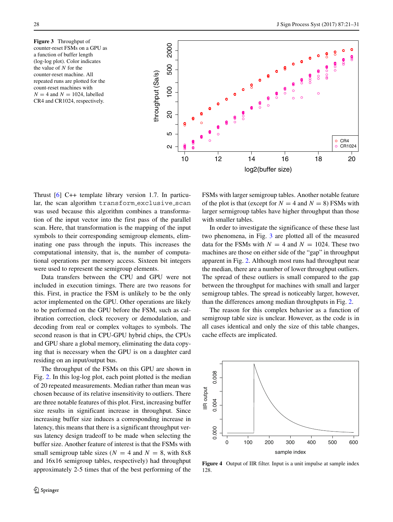<span id="page-7-0"></span>**Figure 3** Throughput of counter-reset FSMs on a GPU as a function of buffer length (log-log plot). Color indicates the value of *N* for the counter-reset machine. All repeated runs are plotted for the count-reset machines with  $N = 4$  and  $N = 1024$ , labelled CR4 and CR1024, respectively.



Thrust [\[6\]](#page-8-8) C++ template library version 1.7. In particular, the scan algorithm transform exclusive scan was used because this algorithm combines a transformation of the input vector into the first pass of the parallel scan. Here, that transformation is the mapping of the input symbols to their corresponding semigroup elements, eliminating one pass through the inputs. This increases the computational intensity, that is, the number of computational operations per memory access. Sixteen bit integers were used to represent the semigroup elements.

Data transfers between the CPU and GPU were not included in execution timings. There are two reasons for this. First, in practice the FSM is unlikely to be the only actor implemented on the GPU. Other operations are likely to be performed on the GPU before the FSM, such as calibration correction, clock recovery or demodulation, and decoding from real or complex voltages to symbols. The second reason is that in CPU-GPU hybrid chips, the CPUs and GPU share a global memory, eliminating the data copying that is necessary when the GPU is on a daughter card residing on an input/output bus.

The throughput of the FSMs on this GPU are shown in Fig. [2.](#page-6-3) In this log-log plot, each point plotted is the median of 20 repeated measurements. Median rather than mean was chosen because of its relative insensitivity to outliers. There are three notable features of this plot. First, increasing buffer size results in significant increase in throughput. Since increasing buffer size induces a corresponding increase in latency, this means that there is a significant throughput versus latency design tradeoff to be made when selecting the buffer size. Another feature of interest is that the FSMs with small semigroup table sizes ( $N = 4$  and  $N = 8$ , with 8x8 and 16x16 semigroup tables, respectively) had throughput approximately 2-5 times that of the best performing of the FSMs with larger semigroup tables. Another notable feature of the plot is that (except for  $N = 4$  and  $N = 8$ ) FSMs with larger sermigroup tables have higher throughput than those with smaller tables.

In order to investigate the significance of these these last two phenomena, in Fig. [3](#page-7-0) are plotted all of the measured data for the FSMs with  $N = 4$  and  $N = 1024$ . These two machines are those on either side of the "gap" in throughput apparent in Fig. [2.](#page-6-3) Although most runs had throughput near the median, there are a number of lower throughput outliers. The spread of these outliers is small compared to the gap between the throughput for machines with small and larger semigroup tables. The spread is noticeably larger, however, than the differences among median throughputs in Fig. [2.](#page-6-3)

The reason for this complex behavior as a function of semigroup table size is unclear. However, as the code is in all cases identical and only the size of this table changes, cache effects are implicated.

<span id="page-7-1"></span>

**Figure 4** Output of IIR filter. Input is a unit impulse at sample index 128.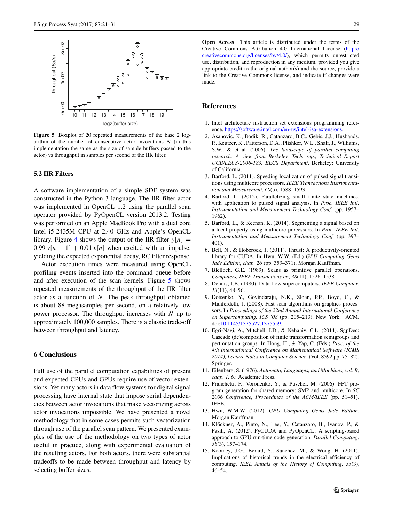<span id="page-8-15"></span>

**Figure 5** Boxplot of 20 repeated measurements of the base 2 logarithm of the number of consecutive actor invocations *N* (in this implementation the same as the size of sample buffers passed to the actor) vs throughput in samples per second of the IIR filter.

## **5.2 IIR Filters**

A software implementation of a simple SDF system was constructed in the Python 3 language. The IIR filter actor was implemented in OpenCL 1.2 using the parallel scan operator provided by PyOpenCL version 2013.2. Testing was performed on an Apple MacBook Pro with a dual core Intel i5-2435M CPU at 2.40 GHz and Apple's OpenCL library. Figure [4](#page-7-1) shows the output of the IIR filter  $y[n] =$  $0.99$   $y[n - 1] + 0.01 x[n]$  when excited with an impulse, yielding the expected exponential decay, RC filter response.

Actor execution times were measured using OpenCL profiling events inserted into the command queue before and after execution of the scan kernels. Figure [5](#page-8-15) shows repeated measurements of the throughput of the IIR filter actor as a function of *N*. The peak throughput obtained is about 88 megasamples per second, on a relatively low power processor. The throughput increases with *N* up to approximately 100,000 samples. There is a classic trade-off between throughput and latency.

## **6 Conclusions**

Full use of the parallel computation capabilities of present and expected CPUs and GPUs require use of vector extensions. Yet many actors in data flow systems for digital signal processing have internal state that impose serial dependencies between actor invocations that make vectorizing across actor invocations impossible. We have presented a novel methodology that in some cases permits such vectorization through use of the parallel scan pattern. We presented examples of the use of the methodology on two types of actor useful in practice, along with experimental evaluation of the resulting actors. For both actors, there were substantial tradeoffs to be made between throughput and latency by selecting buffer sizes.

**Open Access** This article is distributed under the terms of the Creative Commons Attribution 4.0 International License [\(http://](http://creativecommons.org/licenses/by/4.0/) [creativecommons.org/licenses/by/4.0/\)](http://creativecommons.org/licenses/by/4.0/), which permits unrestricted use, distribution, and reproduction in any medium, provided you give appropriate credit to the original author(s) and the source, provide a link to the Creative Commons license, and indicate if changes were made.

#### **References**

- <span id="page-8-6"></span>1. Intel architecture instruction set extensions programming reference. [https://software.intel.com/en-us/intel-isa-extensions.](https://software.intel.com/en-us/intel-isa-extensions)
- <span id="page-8-0"></span>2. Asanovic, K., Bodik, R., Catanzaro, B.C., Gebis, J.J., Husbands, P., Keutzer, K., Patterson, D.A., Plishker, W.L., Shalf, J., Williams, S.W., & et al. (2006). *The landscape of parallel computing research: A view from Berkeley. Tech. rep., Technical Report UCB/EECS-2006-183, EECS Department*. Berkeley: University of California.
- <span id="page-8-1"></span>3. Barford, L. (2011). Speeding localization of pulsed signal transitions using multicore processors. *IEEE Transactions Instrumentation and Measurement*, *60*(5), 1588–1593.
- <span id="page-8-11"></span>4. Barford, L. (2012). Parallelizing small finite state machines, with application to pulsed signal analysis. In *Proc. IEEE Intl. Instrumentation and Measurement Technology Conf.* (pp. 1957– 1962).
- <span id="page-8-14"></span>5. Barford, L., & Keenan, K. (2014). Segmenting a signal based on a local property using multicore processors. In *Proc. IEEE Intl. Instrumentation and Measurement Technology Conf.* (pp. 397– 401).
- <span id="page-8-8"></span>6. Bell, N., & Hoberock, J. (2011). Thrust: A productivity-oriented library for CUDA. In Hwu, W.W. (Ed.) *GPU Computing Gems Jade Edition, chap. 26* (pp. 359–371). Morgan Kauffman.
- <span id="page-8-7"></span>7. Blelloch, G.E. (1989). Scans as primitive parallel operations. *Computers, IEEE Transactions on*, *38*(11), 1526–1538.
- <span id="page-8-3"></span>8. Dennis, J.B. (1980). Data flow supercomputers. *IEEE Computer*, *13*(11), 48–56.
- <span id="page-8-9"></span>9. Dotsenko, Y., Govindaraju, N.K., Sloan, P.P., Boyd, C., & Manferdelli, J. (2008). Fast scan algorithms on graphics processors. In *Proceedings of the 22nd Annual International Conference on Supercomputing, ICS '08* (pp. 205–213). New York: ACM. doi[:10.1145/1375527.1375559.](http://dx.doi.org/10.1145/1375527.1375559)
- <span id="page-8-13"></span>10. Egri-Nagi, A., Mitchell, J.D., & Nehaniv, C.L. (2014). SgpDec: Cascade (de)composition of finite transformation semigroups and pertmutation groups. In Hong, H., & Yap, C. (Eds.) *Proc. of the 4th Internationcal Conference on Mathematical Software (ICMS 2014), Lecture Notes in Computer Science*, (Vol. 8592 pp. 75–82). Springer.
- <span id="page-8-12"></span>11. Eilenberg, S. (1976). *Automata, Languages, and Machines, vol. B, chap. 1, 6.*: Academic Press.
- <span id="page-8-2"></span>12. Franchetti, F., Voronenko, Y., & Puschel, M. (2006). FFT program generation for shared memory: SMP and multicore. In *SC 2006 Conference, Proceedings of the ACM/IEEE* (pp. 51–51). IEEE.
- <span id="page-8-5"></span>13. Hwu, W.M.W. (2012). *GPU Computing Gems Jade Edition*. Morgan Kauffman.
- <span id="page-8-10"></span>14. Klöckner, A., Pinto, N., Lee, Y., Catanzaro, B., Ivanov, P., & Fasih, A. (2012). PyCUDA and PyOpenCL: A scripting-based approach to GPU run-time code generation. *Parallel Computing*, *38*(3), 157–174.
- <span id="page-8-4"></span>15. Koomey, J.G., Berard, S., Sanchez, M., & Wong, H. (2011). Implications of historical trends in the electrical efficiency of computing. *IEEE Annals of the History of Computing*, *33*(3), 46–54.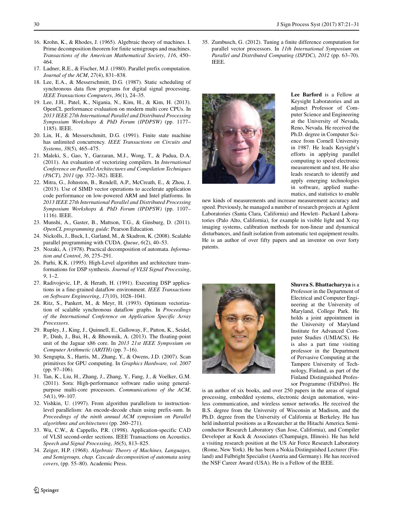- <span id="page-9-17"></span>16. Krohn, K., & Rhodes, J. (1965). Algebraic theory of machines. I. Prime decomposition theorem for finite semigroups and machines. *Transactions of the American Mathematical Society*, *116*, 450– 464.
- <span id="page-9-11"></span>17. Ladner, R.E., & Fischer, M.J. (1980). Parallel prefix computation. *Journal of the ACM*, *27*(4), 831–838.
- <span id="page-9-2"></span>18. Lee, E.A., & Messerschmitt, D.G. (1987). Static scheduling of synchronous data flow programs for digital signal processing. *IEEE Transactions Computers*, *36*(1), 24–35.
- <span id="page-9-9"></span>19. Lee, J.H., Patel, K., Nigania, N., Kim, H., & Kim, H. (2013). OpenCL performance evaluation on modern multi core CPUs. In *2013 IEEE 27th International Parallel and Distributed Processing Symposium Workshops & PhD Forum (IPDPSW)* (pp. 1177– 1185). IEEE.
- <span id="page-9-16"></span>20. Lin, H., & Messerschmitt, D.G. (1991). Finite state machine has unlimited concurrency. *IEEE Transactions on Circuits and Systems*, *38*(5), 465–475.
- <span id="page-9-6"></span>21. Maleki, S., Gao, Y., Garzaran, M.J., Wong, T., & Padua, D.A. (2011). An evaluation of vectorizing compilers. In *International Conference on Parallel Architectures and Compilation Techniques (PACT), 2011* (pp. 372–382). IEEE.
- <span id="page-9-4"></span>22. Mitra, G., Johnston, B., Rendell, A.P., McCreath, E., & Zhou, J. (2013). Use of SIMD vector operations to accelerate application code performance on low-powered ARM and Intel platforms. In *2013 IEEE 27th International Parallel and Distributed Processing Symposium Workshops & PhD Forum (IPDPSW)* (pp. 1107– 1116). IEEE.
- <span id="page-9-7"></span>23. Munshi, A., Gaster, B., Mattson, T.G., & Ginsburg, D. (2011). *OpenCL programming guide*: Pearson Education.
- <span id="page-9-8"></span>24. Nickolls, J., Buck, I., Garland, M., & Skadron, K. (2008). Scalable parallel programming with CUDA. *Queue*, *6*(2), 40–53.
- <span id="page-9-18"></span>25. Nozaki, A. (1978). Practical decomposition of automata. *Information and Control*, *36*, 275–291.
- <span id="page-9-14"></span>26. Parhi, K.K. (1995). High-Level algorithm and architecture transformations for DSP synthesis. *Journal of VLSI Signal Processing*, *9*, 1–2.
- <span id="page-9-1"></span>27. Radivojevic, I.P., & Herath, H. (1991). Executing DSP applications in a fine-grained dataflow environment. *IEEE Transactions on Software Engineering*, *17*(10), 1028–1041.
- <span id="page-9-10"></span>28. Ritz, S., Pankert, M., & Meyr, H. (1993). Optimum vectorization of scalable synchronous dataflow graphs. In *Proceedings of the International Conference on Application Specific Array Processors*.
- <span id="page-9-3"></span>29. Rupley, J., King, J., Quinnell, E., Galloway, F., Patton, K., Seidel, P., Dinh, J., Bui, H., & Bhowmik, A. (2013). The floating-point unit of the Jaguar x86 core. In *2013 21st IEEE Symposium on Computer Arithmetic (ARITH)* (pp. 7–16).
- <span id="page-9-12"></span>30. Sengupta, S., Harris, M., Zhang, Y., & Owens, J.D. (2007). Scan primitives for GPU computing. In *Graphics Hardware, vol. 2007* (pp. 97–106).
- <span id="page-9-0"></span>31. Tan, K., Liu, H., Zhang, J., Zhang, Y., Fang, J., & Voelker, G.M. (2011). Sora: High-performance software radio using generalpurpose multi-core processors. *Communications of the ACM*, *54*(1), 99–107.
- <span id="page-9-13"></span>32. Vishkin, U. (1997). From algorithm parallelism to instructionlevel parallelism: An encode-decode chain using prefix-sum. In *Proceedings of the ninth annual ACM symposium on Parallel algorithms and architectures* (pp. 260–271).
- <span id="page-9-15"></span>33. Wu, C.W., & Cappello, P.R. (1998). Application-specific CAD of VLSI second-order sections. IEEE Transactions on Acoustics. *Speech and Signal Processing*, *36*(5), 813–825.
- <span id="page-9-19"></span>34. Zeiger, H.P. (1968). *Algebraic Theory of Machines, Languages, and Semigroups, chap. Cascade decomposition of automata using covers*, (pp. 55–80). Academic Press.

<span id="page-9-5"></span>35. Zumbusch, G. (2012). Tuning a finite difference computation for parallel vector processors. In *11th International Symposium on Parallel and Distributed Computing (ISPDC), 2012* (pp. 63–70). IEEE.



**Lee Barford** is a Fellow at Keysight Laboratories and an adjunct Professor of Computer Science and Engineering at the University of Nevada, Reno, Nevada. He received the Ph.D. degree in Computer Science from Cornell University in 1987. He leads Keysight's efforts in applying parallel computing to speed electronic measurement and test. He also leads research to identify and apply emerging technologies in software, applied mathematics, and statistics to enable

new kinds of measurements and increase measurement accuracy and speed. Previously, he managed a number of research projects at Agilent Laboratories (Santa Clara, California) and Hewlett- Packard Laboratories (Palo Alto, California), for example in visible light and X-ray imaging systems, calibration methods for non-linear and dynamical disturbances, and fault isolation from automatic test equipment results. He is an author of over fifty papers and an inventor on over forty patents.



**Shuvra S. Bhattacharyya** is a Professor in the Department of Electrical and Computer Engineering at the University of Maryland, College Park. He holds a joint appointment in the University of Maryland Institute for Advanced Computer Studies (UMIACS). He is also a part time visiting professor in the Department of Pervasive Computing at the Tampere University of Technology, Finland, as part of the Finland Distinguished Professor Programme (FiDiPro). He

is an author of six books, and over 250 papers in the areas of signal processing, embedded systems, electronic design automation, wireless communication, and wireless sensor networks. He received the B.S. degree from the University of Wisconsin at Madison, and the Ph.D. degree from the University of California at Berkeley. He has held industrial positions as a Researcher at the Hitachi America Semiconductor Research Laboratory (San Jose, California), and Compiler Developer at Kuck & Associates (Champaign, Illinois). He has held a visiting research position at the US Air Force Research Laboratory (Rome, New York). He has been a Nokia Distinguished Lecturer (Finland) and Fulbright Specialist (Austria and Germany). He has received the NSF Career Award (USA). He is a Fellow of the IEEE.